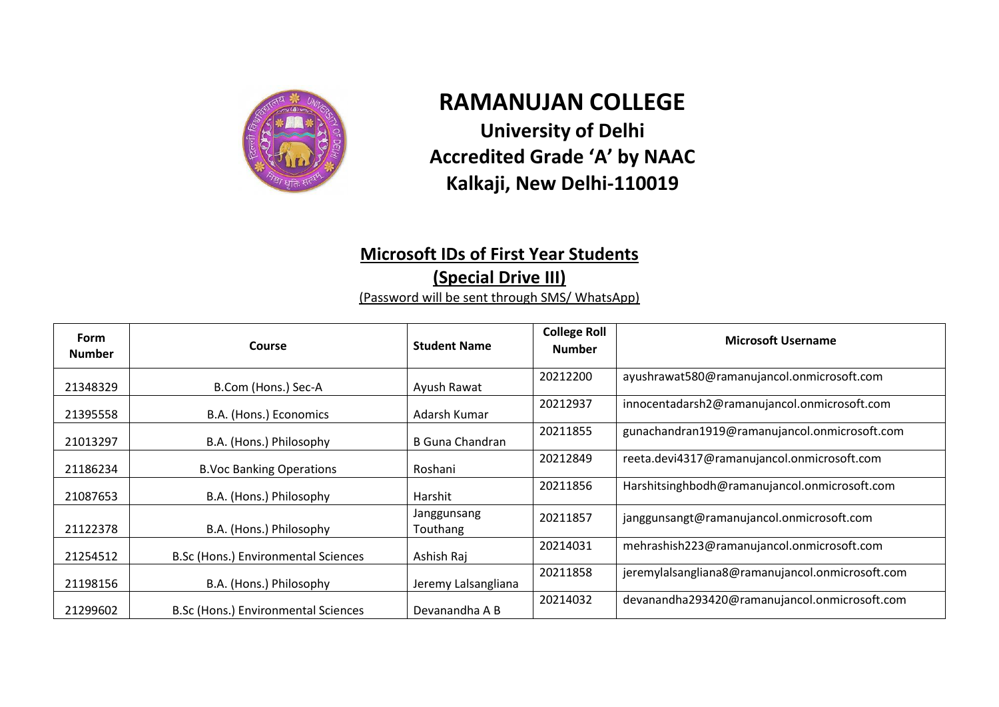

## **RAMANUJAN COLLEGE University of Delhi Accredited Grade 'A' by NAAC**

## **Kalkaji, New Delhi-110019**

## **Microsoft IDs of First Year Students (Special Drive III)**

(Password will be sent through SMS/ WhatsApp)

| <b>Form</b><br><b>Number</b> | Course                                     | <b>Student Name</b>     | <b>College Roll</b><br><b>Number</b> | <b>Microsoft Username</b>                        |
|------------------------------|--------------------------------------------|-------------------------|--------------------------------------|--------------------------------------------------|
| 21348329                     | B.Com (Hons.) Sec-A                        | Ayush Rawat             | 20212200                             | ayushrawat580@ramanujancol.onmicrosoft.com       |
| 21395558                     | B.A. (Hons.) Economics                     | Adarsh Kumar            | 20212937                             | innocentadarsh2@ramanujancol.onmicrosoft.com     |
| 21013297                     | B.A. (Hons.) Philosophy                    | B Guna Chandran         | 20211855                             | gunachandran1919@ramanujancol.onmicrosoft.com    |
| 21186234                     | <b>B.Voc Banking Operations</b>            | Roshani                 | 20212849                             | reeta.devi4317@ramanujancol.onmicrosoft.com      |
| 21087653                     | B.A. (Hons.) Philosophy                    | Harshit                 | 20211856                             | Harshitsinghbodh@ramanujancol.onmicrosoft.com    |
| 21122378                     | B.A. (Hons.) Philosophy                    | Janggunsang<br>Touthang | 20211857                             | janggunsangt@ramanujancol.onmicrosoft.com        |
| 21254512                     | <b>B.Sc (Hons.) Environmental Sciences</b> | Ashish Raj              | 20214031                             | mehrashish223@ramanujancol.onmicrosoft.com       |
| 21198156                     | B.A. (Hons.) Philosophy                    | Jeremy Lalsangliana     | 20211858                             | jeremylalsangliana8@ramanujancol.onmicrosoft.com |
| 21299602                     | B.Sc (Hons.) Environmental Sciences        | Devanandha A B          | 20214032                             | devanandha293420@ramanujancol.onmicrosoft.com    |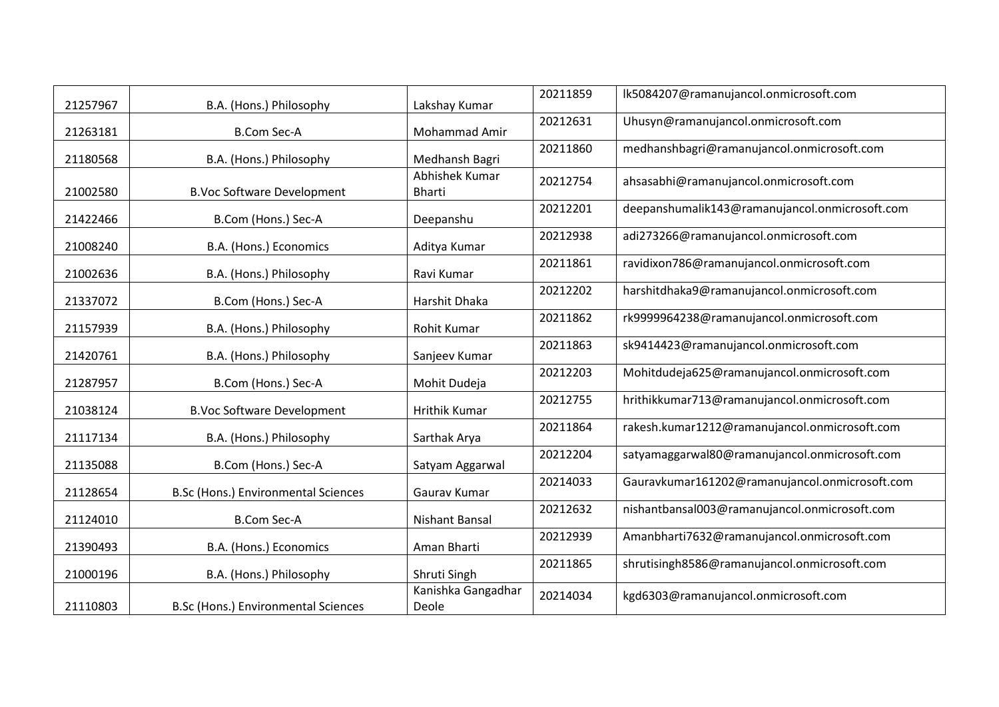| 21257967 | B.A. (Hons.) Philosophy                    | Lakshay Kumar                   | 20211859 | Ik5084207@ramanujancol.onmicrosoft.com         |
|----------|--------------------------------------------|---------------------------------|----------|------------------------------------------------|
| 21263181 | <b>B.Com Sec-A</b>                         | Mohammad Amir                   | 20212631 | Uhusyn@ramanujancol.onmicrosoft.com            |
| 21180568 | B.A. (Hons.) Philosophy                    | Medhansh Bagri                  | 20211860 | medhanshbagri@ramanujancol.onmicrosoft.com     |
| 21002580 | <b>B.Voc Software Development</b>          | Abhishek Kumar<br><b>Bharti</b> | 20212754 | ahsasabhi@ramanujancol.onmicrosoft.com         |
| 21422466 | B.Com (Hons.) Sec-A                        | Deepanshu                       | 20212201 | deepanshumalik143@ramanujancol.onmicrosoft.com |
| 21008240 | B.A. (Hons.) Economics                     | Aditya Kumar                    | 20212938 | adi273266@ramanujancol.onmicrosoft.com         |
| 21002636 | B.A. (Hons.) Philosophy                    | Ravi Kumar                      | 20211861 | ravidixon786@ramanujancol.onmicrosoft.com      |
| 21337072 | B.Com (Hons.) Sec-A                        | Harshit Dhaka                   | 20212202 | harshitdhaka9@ramanujancol.onmicrosoft.com     |
| 21157939 | B.A. (Hons.) Philosophy                    | <b>Rohit Kumar</b>              | 20211862 | rk9999964238@ramanujancol.onmicrosoft.com      |
| 21420761 | B.A. (Hons.) Philosophy                    | Sanjeev Kumar                   | 20211863 | sk9414423@ramanujancol.onmicrosoft.com         |
| 21287957 | B.Com (Hons.) Sec-A                        | Mohit Dudeja                    | 20212203 | Mohitdudeja625@ramanujancol.onmicrosoft.com    |
| 21038124 | <b>B.Voc Software Development</b>          | Hrithik Kumar                   | 20212755 | hrithikkumar713@ramanujancol.onmicrosoft.com   |
| 21117134 | B.A. (Hons.) Philosophy                    | Sarthak Arya                    | 20211864 | rakesh.kumar1212@ramanujancol.onmicrosoft.com  |
| 21135088 | B.Com (Hons.) Sec-A                        | Satyam Aggarwal                 | 20212204 | satyamaggarwal80@ramanujancol.onmicrosoft.com  |
| 21128654 | <b>B.Sc (Hons.) Environmental Sciences</b> | Gaurav Kumar                    | 20214033 | Gauravkumar161202@ramanujancol.onmicrosoft.com |
| 21124010 | <b>B.Com Sec-A</b>                         | Nishant Bansal                  | 20212632 | nishantbansal003@ramanujancol.onmicrosoft.com  |
| 21390493 | B.A. (Hons.) Economics                     | Aman Bharti                     | 20212939 | Amanbharti7632@ramanujancol.onmicrosoft.com    |
| 21000196 | B.A. (Hons.) Philosophy                    | Shruti Singh                    | 20211865 | shrutisingh8586@ramanujancol.onmicrosoft.com   |
| 21110803 | B.Sc (Hons.) Environmental Sciences        | Kanishka Gangadhar<br>Deole     | 20214034 | kgd6303@ramanujancol.onmicrosoft.com           |